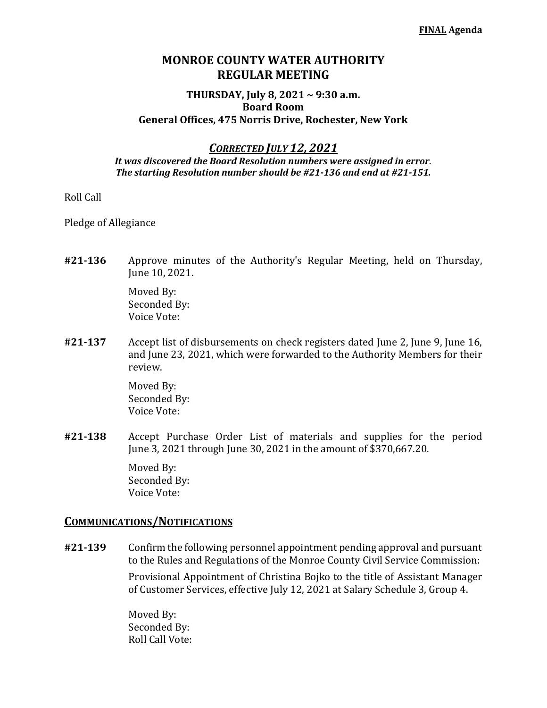# **MONROE COUNTY WATER AUTHORITY REGULAR MEETING**

### **THURSDAY, July 8, 2021 ~ 9:30 a.m. Board Room General Offices, 475 Norris Drive, Rochester, New York**

*CORRECTED JULY 12, 2021*

*It was discovered the Board Resolution numbers were assigned in error. The starting Resolution number should be #21-136 and end at #21-151.*

### Roll Call

Pledge of Allegiance

**#21-136** Approve minutes of the Authority's Regular Meeting, held on Thursday, June 10, 2021.

> Moved By: Seconded By: Voice Vote:

**#21-137** Accept list of disbursements on check registers dated June 2, June 9, June 16, and June 23, 2021, which were forwarded to the Authority Members for their review.

> Moved By: Seconded By: Voice Vote:

**#21-138** Accept Purchase Order List of materials and supplies for the period June 3, 2021 through June 30, 2021 in the amount of \$370,667.20.

> Moved By: Seconded By: Voice Vote:

### **COMMUNICATIONS/NOTIFICATIONS**

**#21-139** Confirm the following personnel appointment pending approval and pursuant to the Rules and Regulations of the Monroe County Civil Service Commission:

> Provisional Appointment of Christina Bojko to the title of Assistant Manager of Customer Services, effective July 12, 2021 at Salary Schedule 3, Group 4.

Moved By: Seconded By: Roll Call Vote: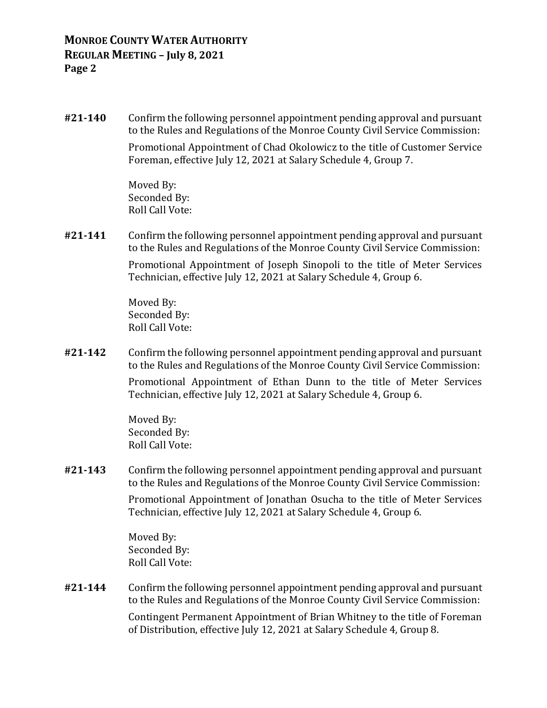**#21-140** Confirm the following personnel appointment pending approval and pursuant to the Rules and Regulations of the Monroe County Civil Service Commission:

> Promotional Appointment of Chad Okolowicz to the title of Customer Service Foreman, effective July 12, 2021 at Salary Schedule 4, Group 7.

Moved By: Seconded By: Roll Call Vote:

**#21-141** Confirm the following personnel appointment pending approval and pursuant to the Rules and Regulations of the Monroe County Civil Service Commission:

> Promotional Appointment of Joseph Sinopoli to the title of Meter Services Technician, effective July 12, 2021 at Salary Schedule 4, Group 6.

Moved By: Seconded By: Roll Call Vote:

**#21-142** Confirm the following personnel appointment pending approval and pursuant to the Rules and Regulations of the Monroe County Civil Service Commission:

> Promotional Appointment of Ethan Dunn to the title of Meter Services Technician, effective July 12, 2021 at Salary Schedule 4, Group 6.

Moved By: Seconded By: Roll Call Vote:

**#21-143** Confirm the following personnel appointment pending approval and pursuant to the Rules and Regulations of the Monroe County Civil Service Commission:

> Promotional Appointment of Jonathan Osucha to the title of Meter Services Technician, effective July 12, 2021 at Salary Schedule 4, Group 6.

Moved By: Seconded By: Roll Call Vote:

**#21-144** Confirm the following personnel appointment pending approval and pursuant to the Rules and Regulations of the Monroe County Civil Service Commission:

> Contingent Permanent Appointment of Brian Whitney to the title of Foreman of Distribution, effective July 12, 2021 at Salary Schedule 4, Group 8.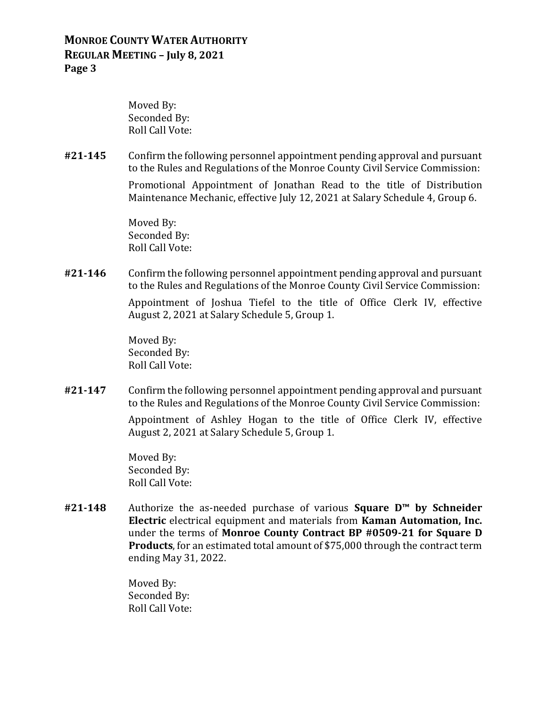## **MONROE COUNTY WATER AUTHORITY REGULAR MEETING – July 8, 2021 Page 3**

Moved By: Seconded By: Roll Call Vote:

**#21-145** Confirm the following personnel appointment pending approval and pursuant to the Rules and Regulations of the Monroe County Civil Service Commission: Promotional Appointment of Jonathan Read to the title of Distribution Maintenance Mechanic, effective July 12, 2021 at Salary Schedule 4, Group 6.

> Moved By: Seconded By: Roll Call Vote:

**#21-146** Confirm the following personnel appointment pending approval and pursuant to the Rules and Regulations of the Monroe County Civil Service Commission:

> Appointment of Joshua Tiefel to the title of Office Clerk IV, effective August 2, 2021 at Salary Schedule 5, Group 1.

Moved By: Seconded By: Roll Call Vote:

**#21-147** Confirm the following personnel appointment pending approval and pursuant to the Rules and Regulations of the Monroe County Civil Service Commission:

> Appointment of Ashley Hogan to the title of Office Clerk IV, effective August 2, 2021 at Salary Schedule 5, Group 1.

Moved By: Seconded By: Roll Call Vote:

**#21-148** Authorize the as-needed purchase of various **Square D™ by Schneider Electric** electrical equipment and materials from **Kaman Automation, Inc.** under the terms of **Monroe County Contract BP #0509-21 for Square D Products**, for an estimated total amount of \$75,000 through the contract term ending May 31, 2022.

> Moved By: Seconded By: Roll Call Vote: